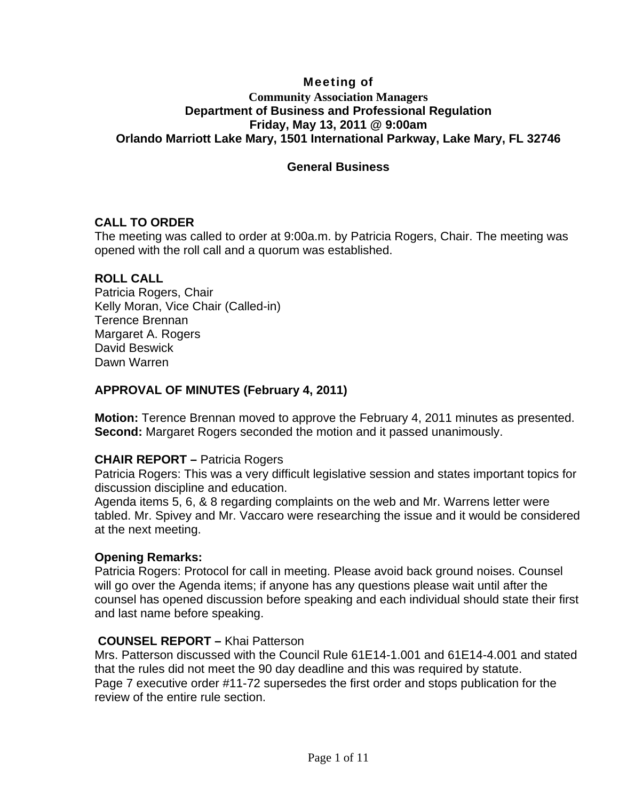## Meeting of **Community Association Managers Department of Business and Professional Regulation Friday, May 13, 2011 @ 9:00am Orlando Marriott Lake Mary, 1501 International Parkway, Lake Mary, FL 32746**

## **General Business**

## **CALL TO ORDER**

The meeting was called to order at 9:00a.m. by Patricia Rogers, Chair. The meeting was opened with the roll call and a quorum was established.

#### **ROLL CALL**

Patricia Rogers, Chair Kelly Moran, Vice Chair (Called-in) Terence Brennan Margaret A. Rogers David Beswick Dawn Warren

## **APPROVAL OF MINUTES (February 4, 2011)**

**Motion:** Terence Brennan moved to approve the February 4, 2011 minutes as presented. **Second:** Margaret Rogers seconded the motion and it passed unanimously.

#### **CHAIR REPORT –** Patricia Rogers

Patricia Rogers: This was a very difficult legislative session and states important topics for discussion discipline and education.

Agenda items 5, 6, & 8 regarding complaints on the web and Mr. Warrens letter were tabled. Mr. Spivey and Mr. Vaccaro were researching the issue and it would be considered at the next meeting.

#### **Opening Remarks:**

Patricia Rogers: Protocol for call in meeting. Please avoid back ground noises. Counsel will go over the Agenda items; if anyone has any questions please wait until after the counsel has opened discussion before speaking and each individual should state their first and last name before speaking.

#### **COUNSEL REPORT –** Khai Patterson

Mrs. Patterson discussed with the Council Rule 61E14-1.001 and 61E14-4.001 and stated that the rules did not meet the 90 day deadline and this was required by statute. Page 7 executive order #11-72 supersedes the first order and stops publication for the review of the entire rule section.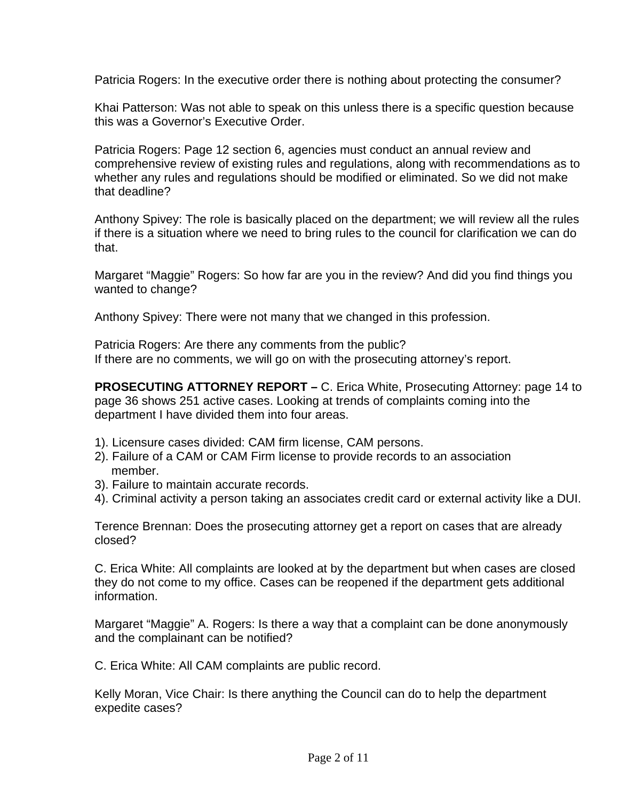Patricia Rogers: In the executive order there is nothing about protecting the consumer?

Khai Patterson: Was not able to speak on this unless there is a specific question because this was a Governor's Executive Order.

Patricia Rogers: Page 12 section 6, agencies must conduct an annual review and comprehensive review of existing rules and regulations, along with recommendations as to whether any rules and regulations should be modified or eliminated. So we did not make that deadline?

Anthony Spivey: The role is basically placed on the department; we will review all the rules if there is a situation where we need to bring rules to the council for clarification we can do that.

Margaret "Maggie" Rogers: So how far are you in the review? And did you find things you wanted to change?

Anthony Spivey: There were not many that we changed in this profession.

Patricia Rogers: Are there any comments from the public? If there are no comments, we will go on with the prosecuting attorney's report.

**PROSECUTING ATTORNEY REPORT –** C. Erica White, Prosecuting Attorney: page 14 to page 36 shows 251 active cases. Looking at trends of complaints coming into the department I have divided them into four areas.

- 1). Licensure cases divided: CAM firm license, CAM persons.
- 2). Failure of a CAM or CAM Firm license to provide records to an association member.
- 3). Failure to maintain accurate records.
- 4). Criminal activity a person taking an associates credit card or external activity like a DUI.

Terence Brennan: Does the prosecuting attorney get a report on cases that are already closed?

C. Erica White: All complaints are looked at by the department but when cases are closed they do not come to my office. Cases can be reopened if the department gets additional information.

Margaret "Maggie" A. Rogers: Is there a way that a complaint can be done anonymously and the complainant can be notified?

C. Erica White: All CAM complaints are public record.

Kelly Moran, Vice Chair: Is there anything the Council can do to help the department expedite cases?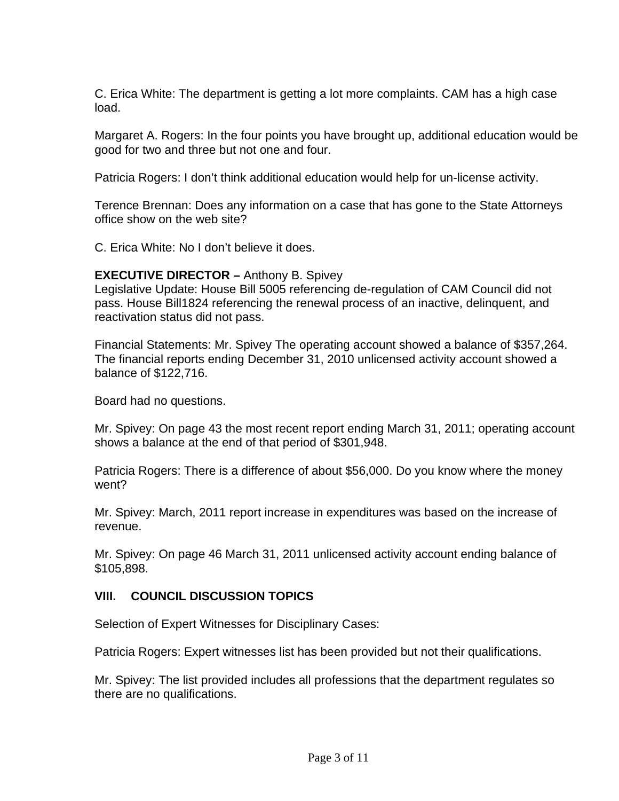C. Erica White: The department is getting a lot more complaints. CAM has a high case load.

Margaret A. Rogers: In the four points you have brought up, additional education would be good for two and three but not one and four.

Patricia Rogers: I don't think additional education would help for un-license activity.

Terence Brennan: Does any information on a case that has gone to the State Attorneys office show on the web site?

C. Erica White: No I don't believe it does.

## **EXECUTIVE DIRECTOR –** Anthony B. Spivey

Legislative Update: House Bill 5005 referencing de-regulation of CAM Council did not pass. House Bill1824 referencing the renewal process of an inactive, delinquent, and reactivation status did not pass.

Financial Statements: Mr. Spivey The operating account showed a balance of \$357,264. The financial reports ending December 31, 2010 unlicensed activity account showed a balance of \$122,716.

Board had no questions.

Mr. Spivey: On page 43 the most recent report ending March 31, 2011; operating account shows a balance at the end of that period of \$301,948.

Patricia Rogers: There is a difference of about \$56,000. Do you know where the money went?

Mr. Spivey: March, 2011 report increase in expenditures was based on the increase of revenue.

Mr. Spivey: On page 46 March 31, 2011 unlicensed activity account ending balance of \$105,898.

## **VIII. COUNCIL DISCUSSION TOPICS**

Selection of Expert Witnesses for Disciplinary Cases:

Patricia Rogers: Expert witnesses list has been provided but not their qualifications.

Mr. Spivey: The list provided includes all professions that the department regulates so there are no qualifications.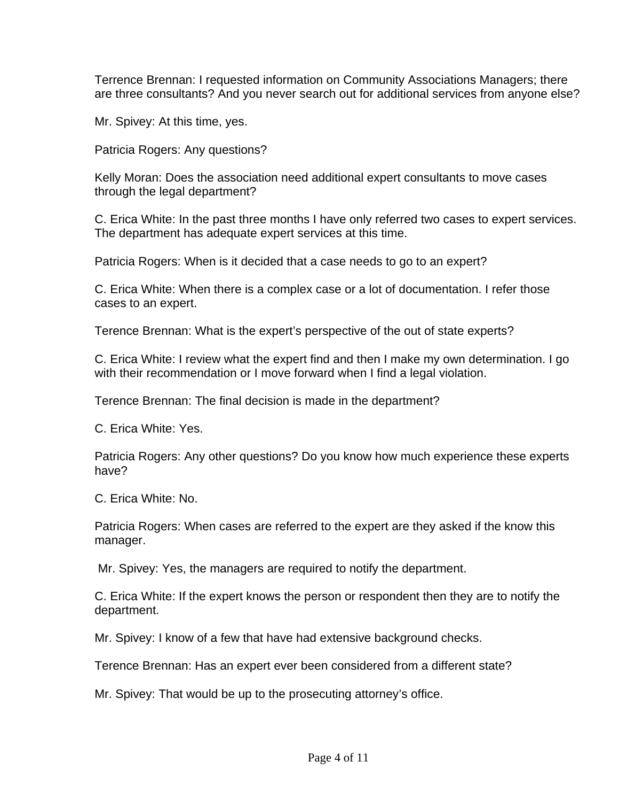Terrence Brennan: I requested information on Community Associations Managers; there are three consultants? And you never search out for additional services from anyone else?

Mr. Spivey: At this time, yes.

Patricia Rogers: Any questions?

Kelly Moran: Does the association need additional expert consultants to move cases through the legal department?

C. Erica White: In the past three months I have only referred two cases to expert services. The department has adequate expert services at this time.

Patricia Rogers: When is it decided that a case needs to go to an expert?

C. Erica White: When there is a complex case or a lot of documentation. I refer those cases to an expert.

Terence Brennan: What is the expert's perspective of the out of state experts?

C. Erica White: I review what the expert find and then I make my own determination. I go with their recommendation or I move forward when I find a legal violation.

Terence Brennan: The final decision is made in the department?

C. Erica White: Yes.

Patricia Rogers: Any other questions? Do you know how much experience these experts have?

C. Erica White: No.

Patricia Rogers: When cases are referred to the expert are they asked if the know this manager.

Mr. Spivey: Yes, the managers are required to notify the department.

C. Erica White: If the expert knows the person or respondent then they are to notify the department.

Mr. Spivey: I know of a few that have had extensive background checks.

Terence Brennan: Has an expert ever been considered from a different state?

Mr. Spivey: That would be up to the prosecuting attorney's office.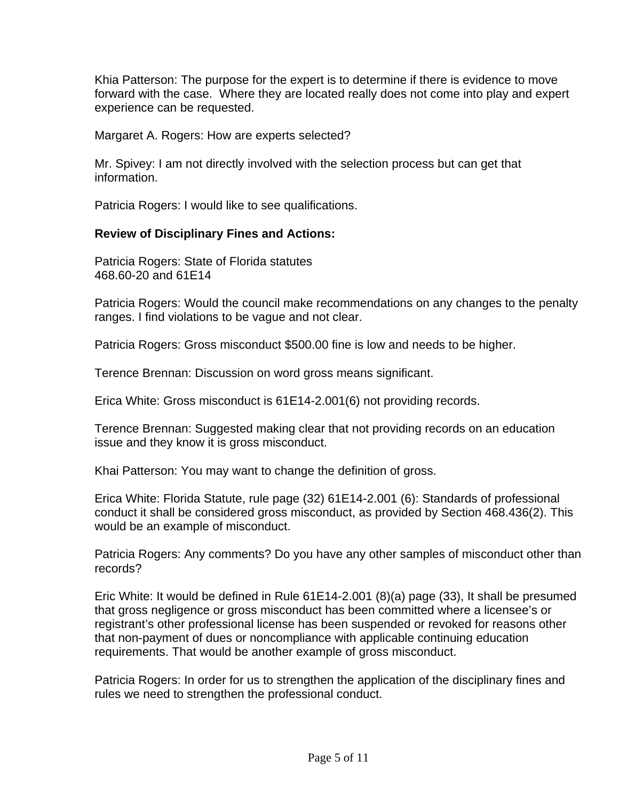Khia Patterson: The purpose for the expert is to determine if there is evidence to move forward with the case. Where they are located really does not come into play and expert experience can be requested.

Margaret A. Rogers: How are experts selected?

Mr. Spivey: I am not directly involved with the selection process but can get that information.

Patricia Rogers: I would like to see qualifications.

## **Review of Disciplinary Fines and Actions:**

Patricia Rogers: State of Florida statutes 468.60-20 and 61E14

Patricia Rogers: Would the council make recommendations on any changes to the penalty ranges. I find violations to be vague and not clear.

Patricia Rogers: Gross misconduct \$500.00 fine is low and needs to be higher.

Terence Brennan: Discussion on word gross means significant.

Erica White: Gross misconduct is 61E14-2.001(6) not providing records.

Terence Brennan: Suggested making clear that not providing records on an education issue and they know it is gross misconduct.

Khai Patterson: You may want to change the definition of gross.

Erica White: Florida Statute, rule page (32) 61E14-2.001 (6): Standards of professional conduct it shall be considered gross misconduct, as provided by Section 468.436(2). This would be an example of misconduct.

Patricia Rogers: Any comments? Do you have any other samples of misconduct other than records?

Eric White: It would be defined in Rule 61E14-2.001 (8)(a) page (33), It shall be presumed that gross negligence or gross misconduct has been committed where a licensee's or registrant's other professional license has been suspended or revoked for reasons other that non-payment of dues or noncompliance with applicable continuing education requirements. That would be another example of gross misconduct.

Patricia Rogers: In order for us to strengthen the application of the disciplinary fines and rules we need to strengthen the professional conduct.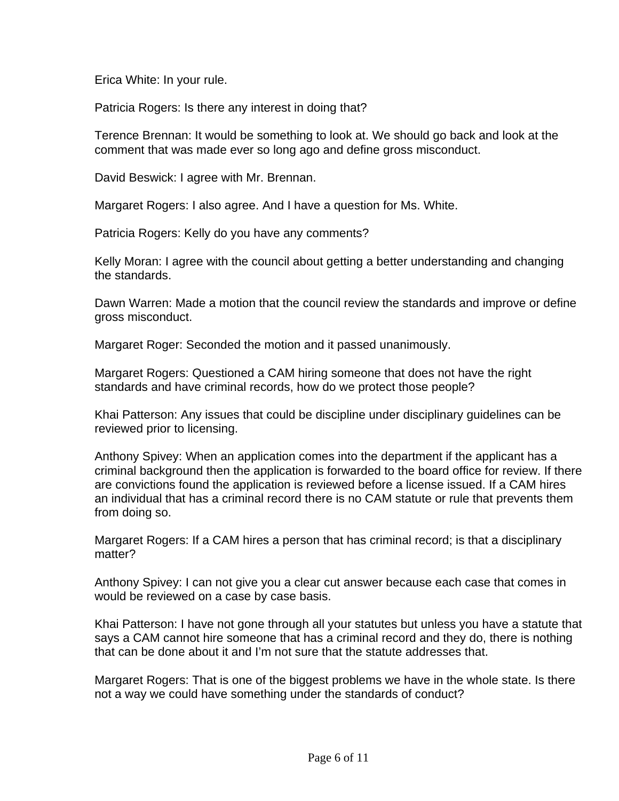Erica White: In your rule.

Patricia Rogers: Is there any interest in doing that?

Terence Brennan: It would be something to look at. We should go back and look at the comment that was made ever so long ago and define gross misconduct.

David Beswick: I agree with Mr. Brennan.

Margaret Rogers: I also agree. And I have a question for Ms. White.

Patricia Rogers: Kelly do you have any comments?

Kelly Moran: I agree with the council about getting a better understanding and changing the standards.

Dawn Warren: Made a motion that the council review the standards and improve or define gross misconduct.

Margaret Roger: Seconded the motion and it passed unanimously.

Margaret Rogers: Questioned a CAM hiring someone that does not have the right standards and have criminal records, how do we protect those people?

Khai Patterson: Any issues that could be discipline under disciplinary guidelines can be reviewed prior to licensing.

Anthony Spivey: When an application comes into the department if the applicant has a criminal background then the application is forwarded to the board office for review. If there are convictions found the application is reviewed before a license issued. If a CAM hires an individual that has a criminal record there is no CAM statute or rule that prevents them from doing so.

Margaret Rogers: If a CAM hires a person that has criminal record; is that a disciplinary matter?

Anthony Spivey: I can not give you a clear cut answer because each case that comes in would be reviewed on a case by case basis.

Khai Patterson: I have not gone through all your statutes but unless you have a statute that says a CAM cannot hire someone that has a criminal record and they do, there is nothing that can be done about it and I'm not sure that the statute addresses that.

Margaret Rogers: That is one of the biggest problems we have in the whole state. Is there not a way we could have something under the standards of conduct?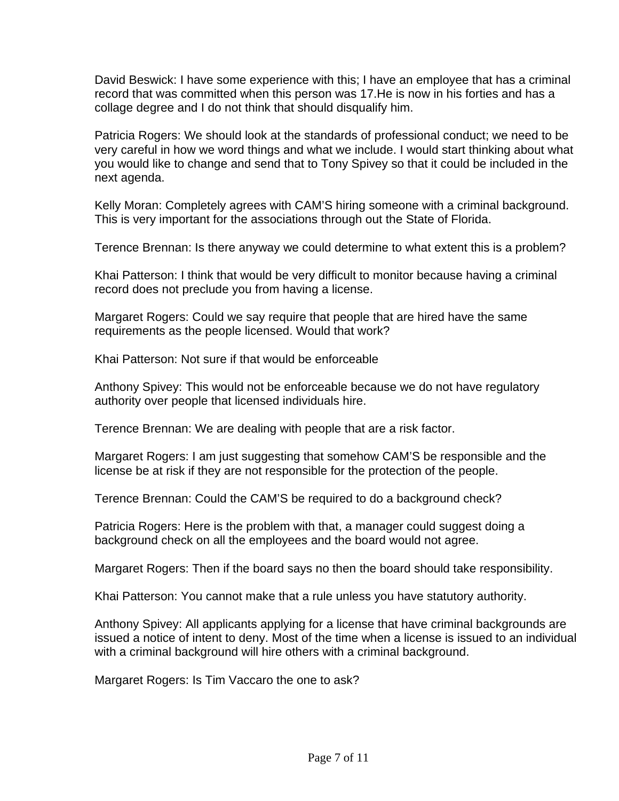David Beswick: I have some experience with this; I have an employee that has a criminal record that was committed when this person was 17.He is now in his forties and has a collage degree and I do not think that should disqualify him.

Patricia Rogers: We should look at the standards of professional conduct; we need to be very careful in how we word things and what we include. I would start thinking about what you would like to change and send that to Tony Spivey so that it could be included in the next agenda.

Kelly Moran: Completely agrees with CAM'S hiring someone with a criminal background. This is very important for the associations through out the State of Florida.

Terence Brennan: Is there anyway we could determine to what extent this is a problem?

Khai Patterson: I think that would be very difficult to monitor because having a criminal record does not preclude you from having a license.

Margaret Rogers: Could we say require that people that are hired have the same requirements as the people licensed. Would that work?

Khai Patterson: Not sure if that would be enforceable

Anthony Spivey: This would not be enforceable because we do not have regulatory authority over people that licensed individuals hire.

Terence Brennan: We are dealing with people that are a risk factor.

Margaret Rogers: I am just suggesting that somehow CAM'S be responsible and the license be at risk if they are not responsible for the protection of the people.

Terence Brennan: Could the CAM'S be required to do a background check?

Patricia Rogers: Here is the problem with that, a manager could suggest doing a background check on all the employees and the board would not agree.

Margaret Rogers: Then if the board says no then the board should take responsibility.

Khai Patterson: You cannot make that a rule unless you have statutory authority.

Anthony Spivey: All applicants applying for a license that have criminal backgrounds are issued a notice of intent to deny. Most of the time when a license is issued to an individual with a criminal background will hire others with a criminal background.

Margaret Rogers: Is Tim Vaccaro the one to ask?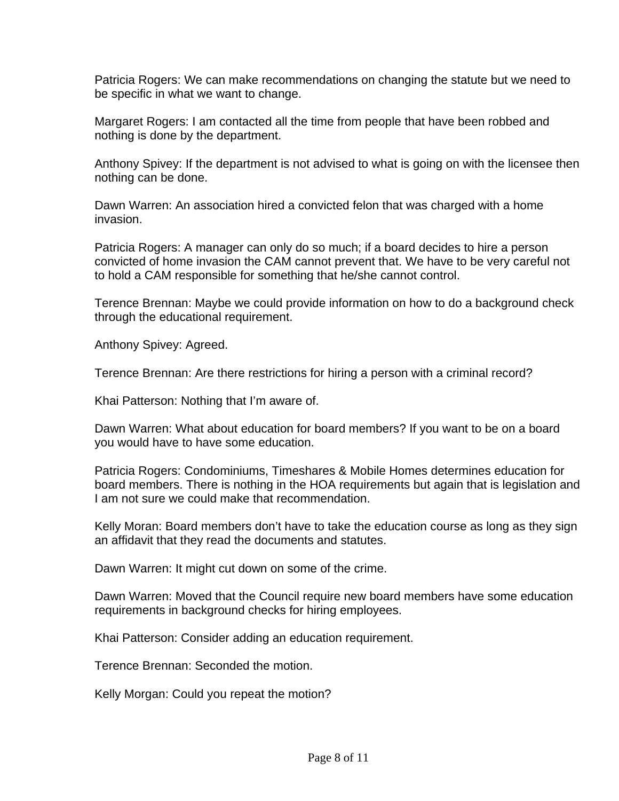Patricia Rogers: We can make recommendations on changing the statute but we need to be specific in what we want to change.

Margaret Rogers: I am contacted all the time from people that have been robbed and nothing is done by the department.

Anthony Spivey: If the department is not advised to what is going on with the licensee then nothing can be done.

Dawn Warren: An association hired a convicted felon that was charged with a home invasion.

Patricia Rogers: A manager can only do so much; if a board decides to hire a person convicted of home invasion the CAM cannot prevent that. We have to be very careful not to hold a CAM responsible for something that he/she cannot control.

Terence Brennan: Maybe we could provide information on how to do a background check through the educational requirement.

Anthony Spivey: Agreed.

Terence Brennan: Are there restrictions for hiring a person with a criminal record?

Khai Patterson: Nothing that I'm aware of.

Dawn Warren: What about education for board members? If you want to be on a board you would have to have some education.

Patricia Rogers: Condominiums, Timeshares & Mobile Homes determines education for board members. There is nothing in the HOA requirements but again that is legislation and I am not sure we could make that recommendation.

Kelly Moran: Board members don't have to take the education course as long as they sign an affidavit that they read the documents and statutes.

Dawn Warren: It might cut down on some of the crime.

Dawn Warren: Moved that the Council require new board members have some education requirements in background checks for hiring employees.

Khai Patterson: Consider adding an education requirement.

Terence Brennan: Seconded the motion.

Kelly Morgan: Could you repeat the motion?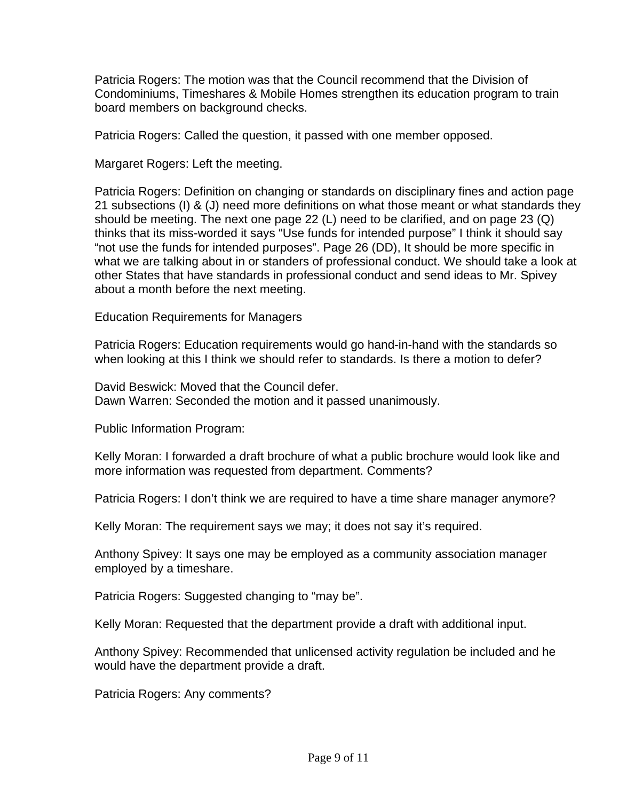Patricia Rogers: The motion was that the Council recommend that the Division of Condominiums, Timeshares & Mobile Homes strengthen its education program to train board members on background checks.

Patricia Rogers: Called the question, it passed with one member opposed.

Margaret Rogers: Left the meeting.

Patricia Rogers: Definition on changing or standards on disciplinary fines and action page 21 subsections (I) & (J) need more definitions on what those meant or what standards they should be meeting. The next one page 22 (L) need to be clarified, and on page 23 (Q) thinks that its miss-worded it says "Use funds for intended purpose" I think it should say "not use the funds for intended purposes". Page 26 (DD), It should be more specific in what we are talking about in or standers of professional conduct. We should take a look at other States that have standards in professional conduct and send ideas to Mr. Spivey about a month before the next meeting.

Education Requirements for Managers

Patricia Rogers: Education requirements would go hand-in-hand with the standards so when looking at this I think we should refer to standards. Is there a motion to defer?

David Beswick: Moved that the Council defer. Dawn Warren: Seconded the motion and it passed unanimously.

Public Information Program:

Kelly Moran: I forwarded a draft brochure of what a public brochure would look like and more information was requested from department. Comments?

Patricia Rogers: I don't think we are required to have a time share manager anymore?

Kelly Moran: The requirement says we may; it does not say it's required.

Anthony Spivey: It says one may be employed as a community association manager employed by a timeshare.

Patricia Rogers: Suggested changing to "may be".

Kelly Moran: Requested that the department provide a draft with additional input.

Anthony Spivey: Recommended that unlicensed activity regulation be included and he would have the department provide a draft.

Patricia Rogers: Any comments?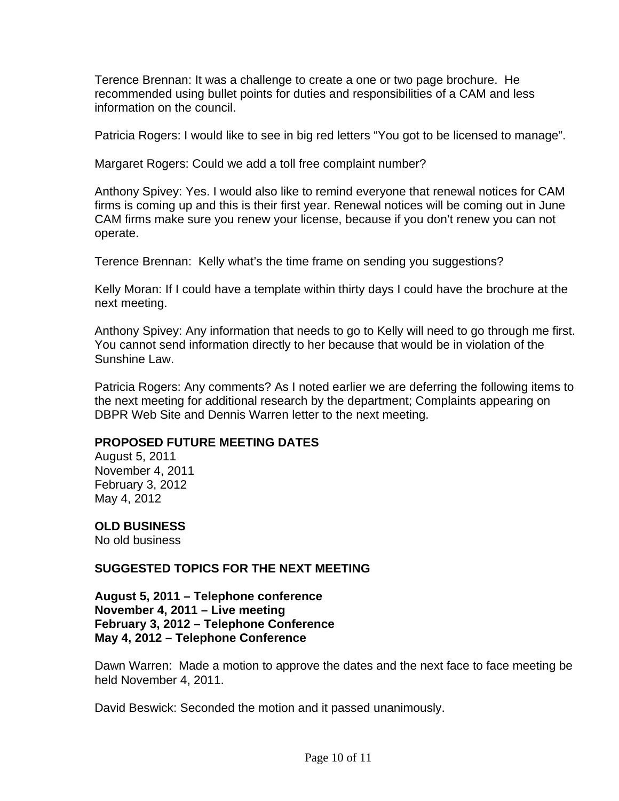Terence Brennan: It was a challenge to create a one or two page brochure. He recommended using bullet points for duties and responsibilities of a CAM and less information on the council.

Patricia Rogers: I would like to see in big red letters "You got to be licensed to manage".

Margaret Rogers: Could we add a toll free complaint number?

Anthony Spivey: Yes. I would also like to remind everyone that renewal notices for CAM firms is coming up and this is their first year. Renewal notices will be coming out in June CAM firms make sure you renew your license, because if you don't renew you can not operate.

Terence Brennan: Kelly what's the time frame on sending you suggestions?

Kelly Moran: If I could have a template within thirty days I could have the brochure at the next meeting.

Anthony Spivey: Any information that needs to go to Kelly will need to go through me first. You cannot send information directly to her because that would be in violation of the Sunshine Law.

Patricia Rogers: Any comments? As I noted earlier we are deferring the following items to the next meeting for additional research by the department; Complaints appearing on DBPR Web Site and Dennis Warren letter to the next meeting.

## **PROPOSED FUTURE MEETING DATES**

August 5, 2011 November 4, 2011 February 3, 2012 May 4, 2012

**OLD BUSINESS** 

No old business

**SUGGESTED TOPICS FOR THE NEXT MEETING** 

**August 5, 2011 – Telephone conference November 4, 2011 – Live meeting February 3, 2012 – Telephone Conference May 4, 2012 – Telephone Conference** 

Dawn Warren: Made a motion to approve the dates and the next face to face meeting be held November 4, 2011.

David Beswick: Seconded the motion and it passed unanimously.